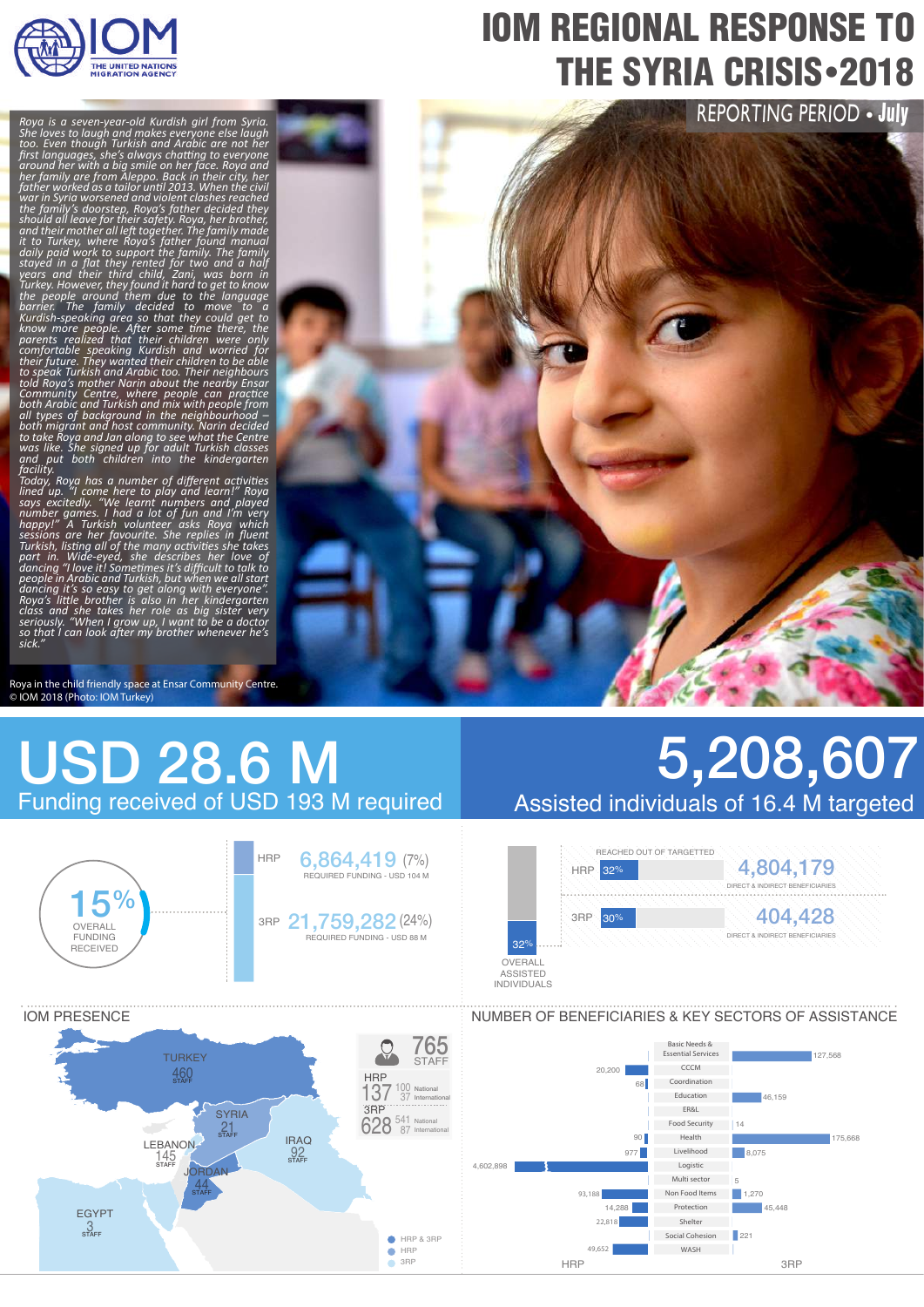

# IOM REGIONAL RESPONSE TO **THE SYRIA CRISIS** - 2018

REPORTING PERIOD . July

*Roya is a seven-year-old Kurdish girl from Syria.*  Shé loves to laugh and makes everỹoné else láugh<br>too. Even though Turkish and Arabic are not her<br>first languages, she′s always chatting to everyone<br>around her with a big smile on her face. Roya and<br>her family are from Ale father worked as a tailor until 2013. When the civil<br>war in Syria worsened and violent clashes reached a<br>the family's doorsteep, Roya's father decided they<br>should all leave for their safety. Roya, her brother,<br>and their mo

Today, Roya has a number of different activities<br>lined up. "I come here to play and learn!" Roya<br>says excitedly. "We learnt numbers and played<br>number games. I had a lot of fun and I'm very<br>happy!" A Turkish volunteer asks

Roya in the child friendly space at Ensar Community Centre. © IOM 2018 (Photo: IOM Turkey)

# USD 28.6 M Funding received of USD 193 M required



# 5,208,607 Assisted individuals of 16.4 M targeted





### NUMBER OF BENEFICIARIES & KEY SECTORS OF ASSISTANCE

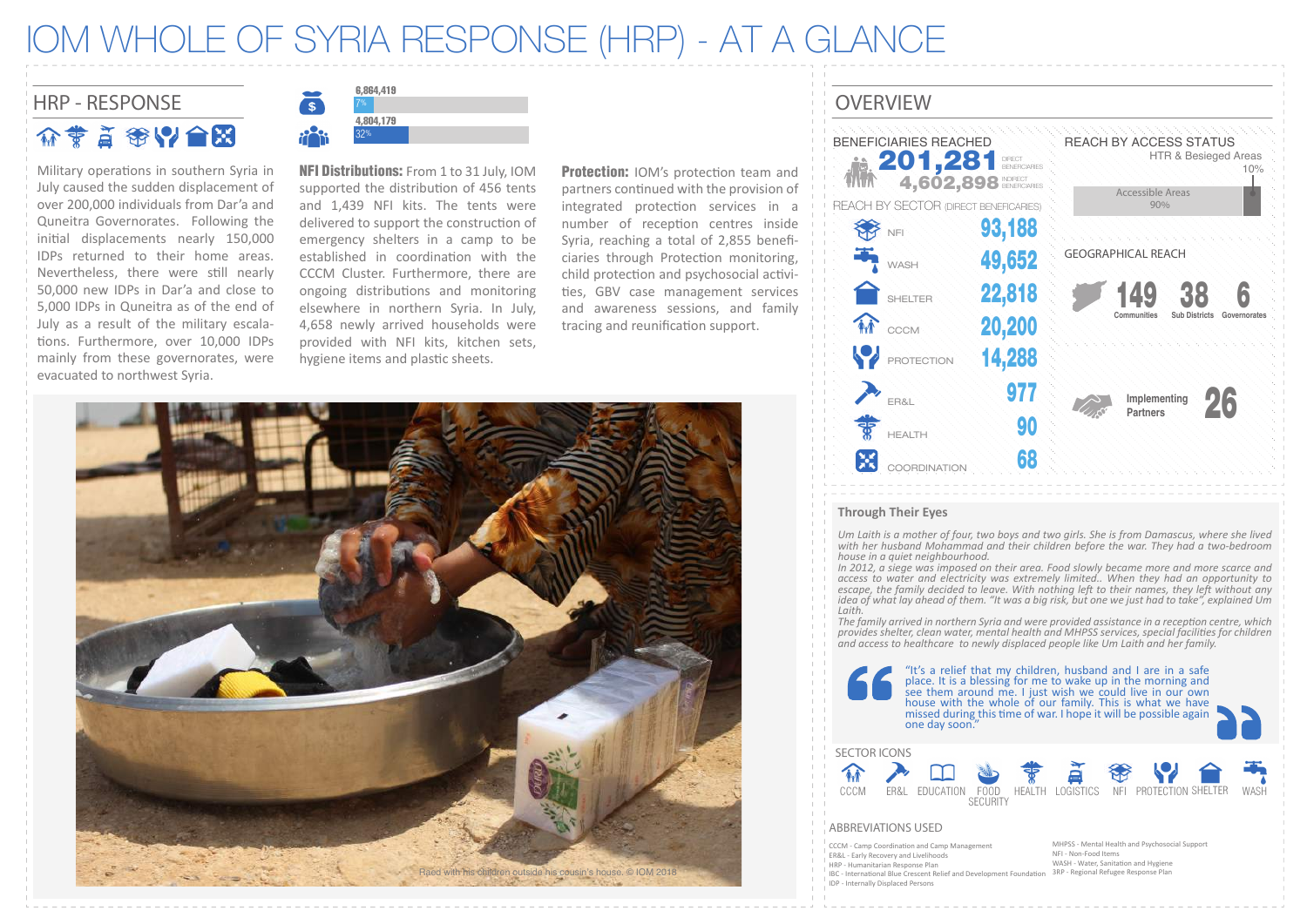## IOM WHOLE OF SYRIA RESPONSE (HRP) - AT A GLANCE

## HRP - RESPONSE CONSULTER THE CONSULTING CONSULTING THE CONSULTING OVERVIEW 价费首赛以合因

Military operations in southern Syria in July caused the sudden displacement of over 200,000 individuals from Dar'a and Quneitra Governorates. Following the initial displacements nearly 150,000 IDPs returned to their home areas. Nevertheless, there were still nearly 50,000 new IDPs in Dar'a and close to 5,000 IDPs in Quneitra as of the end of July as a result of the military escala tions. Furthermore, over 10,000 IDPs mainly from these governorates, were evacuated to northwest Syria.



NFI Distributions: From 1 to 31 July, IOM supported the distribution of 456 tents and 1,439 NFI kits. The tents were delivered to support the construction of emergency shelters in a camp to be established in coordination with the CCCM Cluster. Furthermore, there are ongoing distributions and monitoring elsewhere in northern Syria. In July, 4,658 newly arrived households were provided with NFI kits, kitchen sets, hygiene items and plastic sheets.

Protection: IOM's protection team and partners continued with the provision of integrated protection services in a number of reception centres inside Syria, reaching a total of 2,855 beneficiaries through Protection monitoring. child protection and psychosocial activi-�es, GBV case management services and awareness sessions, and family tracing and reunification support.



#### **Through Their Eyes**

HRP - Humanitarian Response Plan

IDP - Internally Displaced Persons

IBC - International Blue Crescent Relief and Development Foundation

*Um Laith is a mother of four, two boys and two girls. She is from Damascus, where she lived*  with her husband Mohammad and their children before the war. They had a two-bedroom *house in a quiet neighbourhood.* 

*In 2012, a siege was imposed on their area. Food slowly became more and more scarce and access to water and electricity was extremely limited.. When they had an opportunity to escape, the family decided to leave. With nothing left to their names, they left without any idea of what lay ahead of them. "It was a big risk, but one we just had to take", explained Um Laith.* 

*The family arrived in northern Syria and were provided assistance in a reception centre, which provides shelter, clean water, mental health and MHPSS services, special facilities for children and access to healthcare to newly displaced people like Um Laith and her family.*

"It's a relief that my children, husband and I are in a safe place. It is a blessing for me to wake up in the morning and see them around me. I just wish we could live in our own house with the whole of our family. This is what we have missed during this time of war. I hope it will be possible again one day soon." SECTOR ICONS **An** ER&L EDUCATION FOOD HEALTH LOGISTICS NFI PROTECTION SHELTER HEALTH LOGISTICS SECURITY ABBREVIATIONS USED MHPSS - Mental Health and Psychosocial Support CCCM - Camp Coordination and Camp Management NFI - Non-Food Items ER&L - Early Recovery and Livelihoods

WASH - Water, Sanitation and Hygiene 3RP - Regional Refugee Response Plan